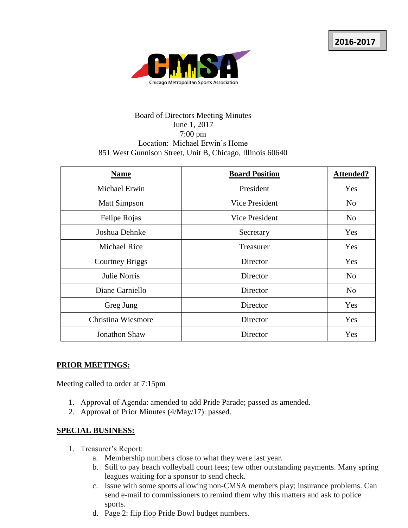

## Board of Directors Meeting Minutes June 1, 2017 7:00 pm Location: Michael Erwin's Home 851 West Gunnison Street, Unit B, Chicago, Illinois 60640

| <b>Name</b>            | <b>Board Position</b> | <b>Attended?</b> |
|------------------------|-----------------------|------------------|
| Michael Erwin          | President             | Yes              |
| <b>Matt Simpson</b>    | Vice President        | N <sub>o</sub>   |
| Felipe Rojas           | <b>Vice President</b> | N <sub>0</sub>   |
| Joshua Dehnke          | Secretary             | Yes              |
| <b>Michael Rice</b>    | Treasurer             | Yes              |
| <b>Courtney Briggs</b> | Director              | Yes              |
| <b>Julie Norris</b>    | Director              | N <sub>o</sub>   |
| Diane Carniello        | Director              | N <sub>o</sub>   |
| Greg Jung              | Director              | Yes              |
| Christina Wiesmore     | Director              | Yes              |
| <b>Jonathon Shaw</b>   | Director              | Yes              |

## **PRIOR MEETINGS:**

Meeting called to order at 7:15pm

- 1. Approval of Agenda: amended to add Pride Parade; passed as amended.
- 2. Approval of Prior Minutes (4/May/17): passed.

## **SPECIAL BUSINESS:**

- 1. Treasurer's Report:
	- a. Membership numbers close to what they were last year.
	- b. Still to pay beach volleyball court fees; few other outstanding payments. Many spring leagues waiting for a sponsor to send check.
	- c. Issue with some sports allowing non-CMSA members play; insurance problems. Can send e-mail to commissioners to remind them why this matters and ask to police sports.
	- d. Page 2: flip flop Pride Bowl budget numbers.